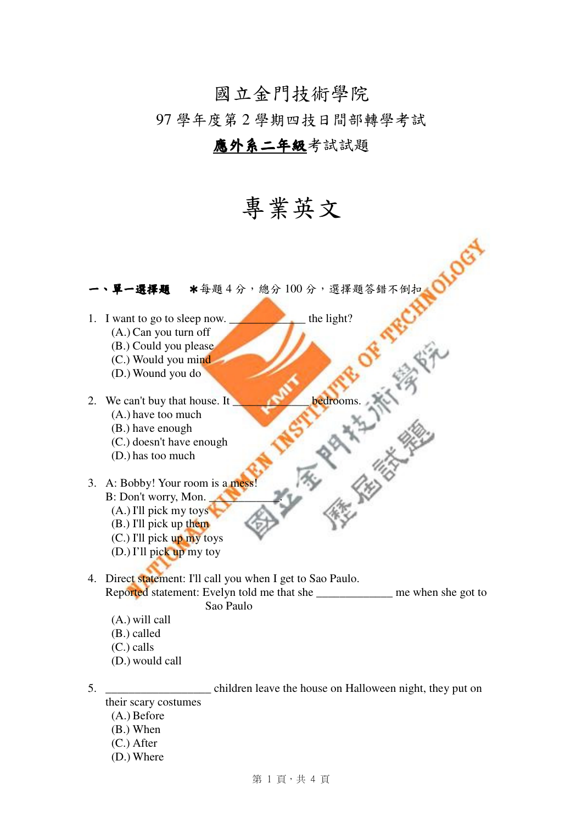## 國立金門技術學院

97 學年度第 2 學期四技日間部轉學考試

## 應外系二年級考試試題

## 專業英文



5. **Example 2.** children leave the house on Halloween night, they put on their scary costumes (A.) Before

- (B.) When
- (C.) After
- (D.) Where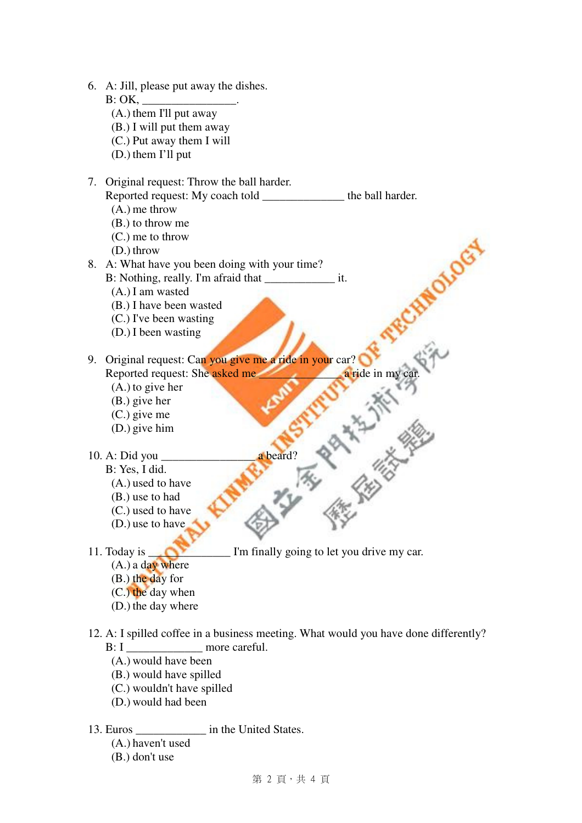|    | 6. A: Jill, please put away the dishes.                                              |
|----|--------------------------------------------------------------------------------------|
|    | B: OK,                                                                               |
|    | (A.) them I'll put away                                                              |
|    | (B.) I will put them away                                                            |
|    | (C.) Put away them I will                                                            |
|    | $(D.)$ them I'll put                                                                 |
| 7. | Original request: Throw the ball harder.                                             |
|    | Reported request: My coach told ________________ the ball harder.                    |
|    | $(A.)$ me throw                                                                      |
|    | (B.) to throw me                                                                     |
|    | $(C.)$ me to throw                                                                   |
|    | $(D.)$ throw                                                                         |
| 8. | A: What have you been doing with your time?                                          |
|    |                                                                                      |
|    | $(A.)$ I am wasted                                                                   |
|    | (B.) I have been wasted                                                              |
|    | (C.) I've been wasting                                                               |
|    | $(D.)$ I been wasting                                                                |
|    |                                                                                      |
| 9. | Original request: Can you give me a ride in your car?                                |
|    | Reported request: She asked me<br>a ride in my car.                                  |
|    | $(A.)$ to give her                                                                   |
|    | $(B.)$ give her                                                                      |
|    | $(C.)$ give me                                                                       |
|    | $(D.)$ give him                                                                      |
|    |                                                                                      |
|    | a beard?                                                                             |
|    | B: Yes, I did.                                                                       |
|    | (A.) used to have                                                                    |
|    | (B.) use to had                                                                      |
|    | (C.) used to have<br>(D.) use to have                                                |
|    |                                                                                      |
|    | 11. Today is<br>I'm finally going to let you drive my car.                           |
|    | $(A.)$ a day where                                                                   |
|    | (B.) the day for                                                                     |
|    | $(C.)$ the day when                                                                  |
|    | (D.) the day where                                                                   |
|    |                                                                                      |
|    | 12. A: I spilled coffee in a business meeting. What would you have done differently? |
|    | more careful.<br>B: I                                                                |
|    | (A.) would have been                                                                 |
|    | (B.) would have spilled                                                              |
|    |                                                                                      |

- (C.) wouldn't have spilled
- (D.) would had been

13. Euros \_\_\_\_\_\_\_\_\_\_\_\_ in the United States.

(A.) haven't used

(B.) don't use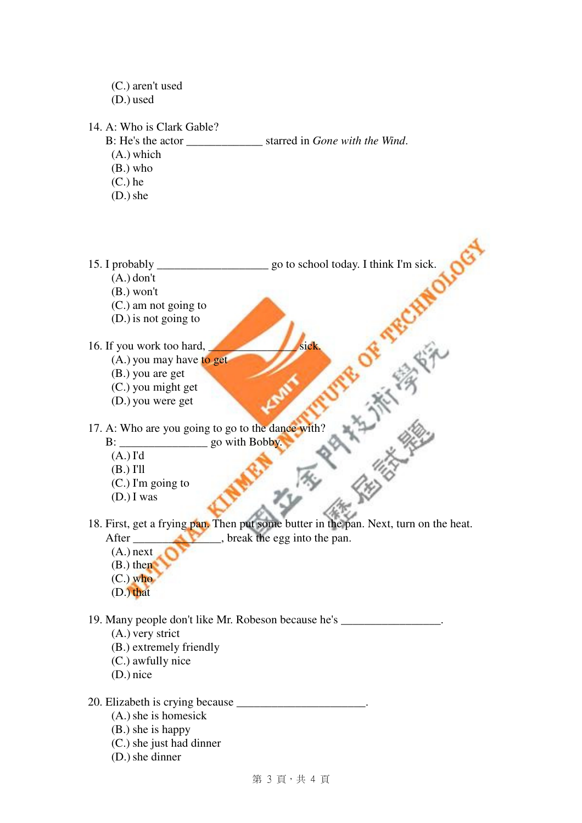(C.) aren't used (D.) used 14. A: Who is Clark Gable? B: He's the actor starred in *Gone with the Wind*. (A.) which (B.) who (C.) he  $(D.)$  she 15. I probably \_\_\_\_\_\_\_\_\_\_\_\_\_\_\_\_\_\_\_ go to school today. I think I'm sick. (A.) don't OF THE CHAOL (B.) won't (C.) am not going to (D.) is not going to 16. If you work too hard, (A.) you may have to get **HALL BROWN** (B.) you are get (C.) you might get (D.) you were get 17. A: Who are you going to go to the dance with? B: \_\_\_\_\_\_\_\_\_\_\_\_\_\_\_ go with Bobby. (A.) I'd (B.) I'll (C.) I'm going to (D.) I was 18. First, get a frying pan. Then put some butter in the pan. Next, turn on the heat. After \_\_\_\_\_\_\_\_\_\_\_\_\_\_, break the egg into the pan. (A.) next (B.) then (C.) who (D.) that 19. Many people don't like Mr. Robeson because he's \_\_\_\_\_\_\_\_\_\_\_\_\_\_\_\_\_. (A.) very strict (B.) extremely friendly (C.) awfully nice (D.) nice 20. Elizabeth is crying because (A.)she is homesick (B.) she is happy (C.) she just had dinner (D.)she dinner

```
第 3 頁,共 4 頁
```